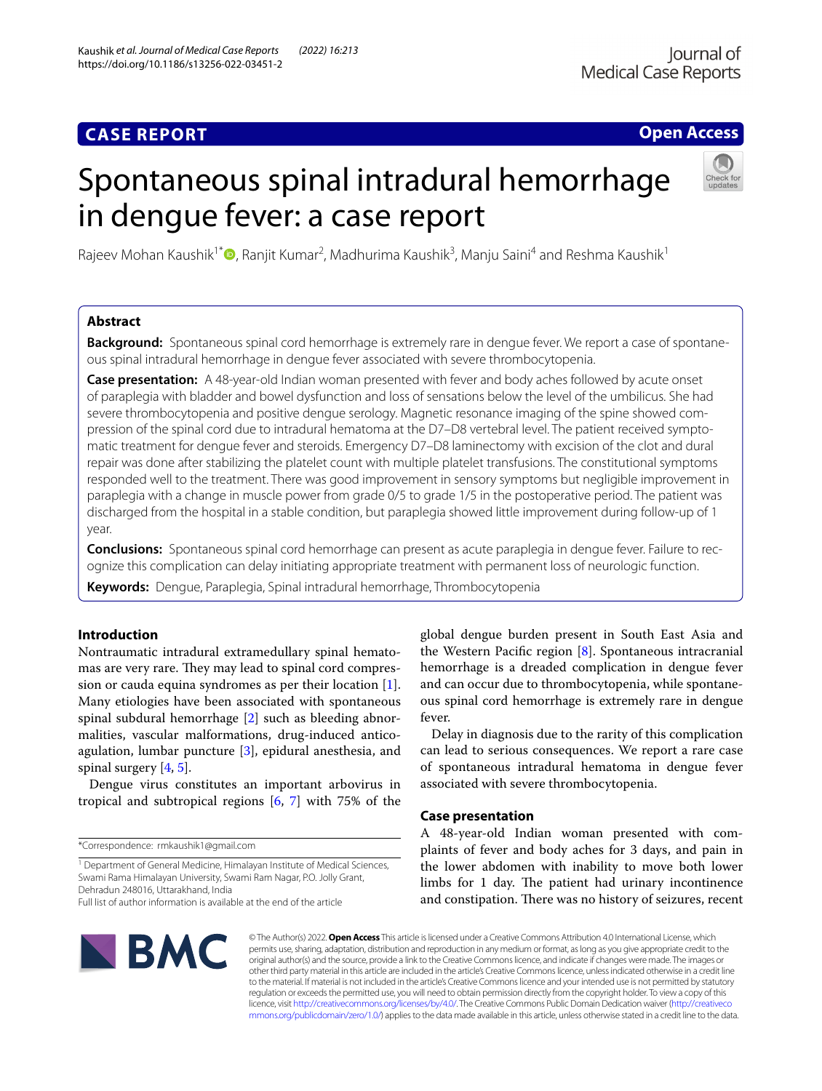### **CASE REPORT**

### **Open Access**

# Spontaneous spinal intradural hemorrhage in dengue fever: a case report



Rajeev Mohan Kaushik<sup>1[\\*](http://orcid.org/0000-0003-0217-4269)</sup>®, Ranjit Kumar<sup>2</sup>, Madhurima Kaushik<sup>3</sup>, Manju Saini<sup>4</sup> and Reshma Kaushik<sup>1</sup>

### **Abstract**

**Background:** Spontaneous spinal cord hemorrhage is extremely rare in dengue fever. We report a case of spontaneous spinal intradural hemorrhage in dengue fever associated with severe thrombocytopenia.

**Case presentation:** A 48-year-old Indian woman presented with fever and body aches followed by acute onset of paraplegia with bladder and bowel dysfunction and loss of sensations below the level of the umbilicus. She had severe thrombocytopenia and positive dengue serology. Magnetic resonance imaging of the spine showed compression of the spinal cord due to intradural hematoma at the D7–D8 vertebral level. The patient received symptomatic treatment for dengue fever and steroids. Emergency D7–D8 laminectomy with excision of the clot and dural repair was done after stabilizing the platelet count with multiple platelet transfusions. The constitutional symptoms responded well to the treatment. There was good improvement in sensory symptoms but negligible improvement in paraplegia with a change in muscle power from grade 0/5 to grade 1/5 in the postoperative period. The patient was discharged from the hospital in a stable condition, but paraplegia showed little improvement during follow-up of 1 year.

**Conclusions:** Spontaneous spinal cord hemorrhage can present as acute paraplegia in dengue fever. Failure to recognize this complication can delay initiating appropriate treatment with permanent loss of neurologic function. **Keywords:** Dengue, Paraplegia, Spinal intradural hemorrhage, Thrombocytopenia

## **Introduction**

Nontraumatic intradural extramedullary spinal hematomas are very rare. They may lead to spinal cord compression or cauda equina syndromes as per their location [\[1](#page-3-0)]. Many etiologies have been associated with spontaneous spinal subdural hemorrhage [[2](#page-3-1)] such as bleeding abnormalities, vascular malformations, drug-induced anticoagulation, lumbar puncture [[3\]](#page-3-2), epidural anesthesia, and spinal surgery [\[4](#page-3-3), [5](#page-3-4)].

Dengue virus constitutes an important arbovirus in tropical and subtropical regions [[6,](#page-3-5) [7\]](#page-3-6) with 75% of the

global dengue burden present in South East Asia and the Western Pacific region  $[8]$  $[8]$ . Spontaneous intracranial hemorrhage is a dreaded complication in dengue fever and can occur due to thrombocytopenia, while spontaneous spinal cord hemorrhage is extremely rare in dengue fever.

Delay in diagnosis due to the rarity of this complication can lead to serious consequences. We report a rare case of spontaneous intradural hematoma in dengue fever associated with severe thrombocytopenia.

### **Case presentation**

A 48-year-old Indian woman presented with complaints of fever and body aches for 3 days, and pain in the lower abdomen with inability to move both lower limbs for 1 day. The patient had urinary incontinence and constipation. There was no history of seizures, recent



© The Author(s) 2022. **Open Access** This article is licensed under a Creative Commons Attribution 4.0 International License, which permits use, sharing, adaptation, distribution and reproduction in any medium or format, as long as you give appropriate credit to the original author(s) and the source, provide a link to the Creative Commons licence, and indicate if changes were made. The images or other third party material in this article are included in the article's Creative Commons licence, unless indicated otherwise in a credit line to the material. If material is not included in the article's Creative Commons licence and your intended use is not permitted by statutory regulation or exceeds the permitted use, you will need to obtain permission directly from the copyright holder. To view a copy of this licence, visit [http://creativecommons.org/licenses/by/4.0/.](http://creativecommons.org/licenses/by/4.0/) The Creative Commons Public Domain Dedication waiver ([http://creativeco](http://creativecommons.org/publicdomain/zero/1.0/) [mmons.org/publicdomain/zero/1.0/](http://creativecommons.org/publicdomain/zero/1.0/)) applies to the data made available in this article, unless otherwise stated in a credit line to the data.

<sup>\*</sup>Correspondence: rmkaushik1@gmail.com

<sup>&</sup>lt;sup>1</sup> Department of General Medicine, Himalayan Institute of Medical Sciences, Swami Rama Himalayan University, Swami Ram Nagar, P.O. Jolly Grant, Dehradun 248016, Uttarakhand, India

Full list of author information is available at the end of the article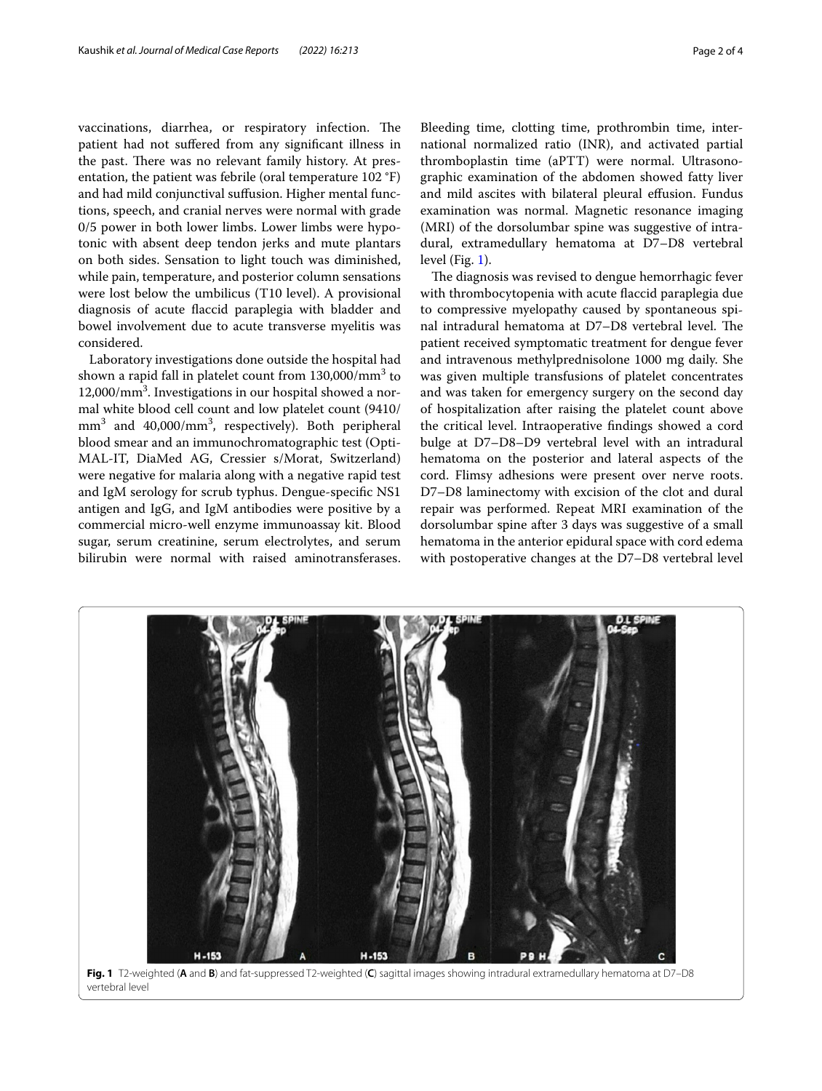vaccinations, diarrhea, or respiratory infection. The patient had not sufered from any signifcant illness in the past. There was no relevant family history. At presentation, the patient was febrile (oral temperature 102 °F) and had mild conjunctival sufusion. Higher mental functions, speech, and cranial nerves were normal with grade 0/5 power in both lower limbs. Lower limbs were hypotonic with absent deep tendon jerks and mute plantars on both sides. Sensation to light touch was diminished, while pain, temperature, and posterior column sensations were lost below the umbilicus (T10 level). A provisional diagnosis of acute faccid paraplegia with bladder and bowel involvement due to acute transverse myelitis was considered.

Laboratory investigations done outside the hospital had shown a rapid fall in platelet count from  $130,000/\mathrm{mm}^3$  to 12,000/mm<sup>3</sup>. Investigations in our hospital showed a normal white blood cell count and low platelet count (9410/ mm3 and 40,000/mm3 , respectively). Both peripheral blood smear and an immunochromatographic test (Opti-MAL-IT, DiaMed AG, Cressier s/Morat, Switzerland) were negative for malaria along with a negative rapid test and IgM serology for scrub typhus. Dengue-specifc NS1 antigen and IgG, and IgM antibodies were positive by a commercial micro-well enzyme immunoassay kit. Blood sugar, serum creatinine, serum electrolytes, and serum bilirubin were normal with raised aminotransferases.

Bleeding time, clotting time, prothrombin time, international normalized ratio (INR), and activated partial thromboplastin time (aPTT) were normal. Ultrasonographic examination of the abdomen showed fatty liver and mild ascites with bilateral pleural effusion. Fundus examination was normal. Magnetic resonance imaging (MRI) of the dorsolumbar spine was suggestive of intradural, extramedullary hematoma at D7–D8 vertebral level (Fig. [1\)](#page-1-0).

The diagnosis was revised to dengue hemorrhagic fever with thrombocytopenia with acute faccid paraplegia due to compressive myelopathy caused by spontaneous spinal intradural hematoma at D7–D8 vertebral level. The patient received symptomatic treatment for dengue fever and intravenous methylprednisolone 1000 mg daily. She was given multiple transfusions of platelet concentrates and was taken for emergency surgery on the second day of hospitalization after raising the platelet count above the critical level. Intraoperative fndings showed a cord bulge at D7–D8–D9 vertebral level with an intradural hematoma on the posterior and lateral aspects of the cord. Flimsy adhesions were present over nerve roots. D7–D8 laminectomy with excision of the clot and dural repair was performed. Repeat MRI examination of the dorsolumbar spine after 3 days was suggestive of a small hematoma in the anterior epidural space with cord edema with postoperative changes at the D7–D8 vertebral level

<span id="page-1-0"></span>

**Fig. 1** T2-weighted (**A** and **B**) and fat-suppressed T2-weighted (**C**) sagittal images showing intradural extramedullary hematoma at D7–D8 vertebral level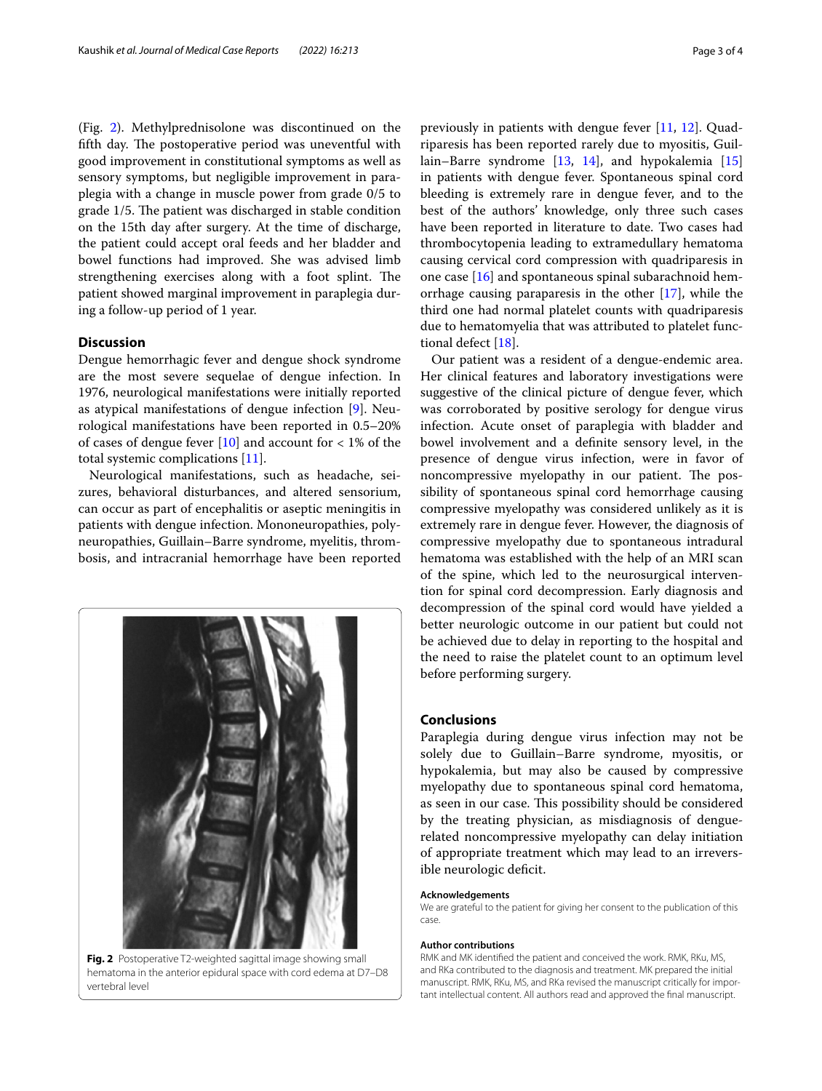(Fig. [2\)](#page-2-0). Methylprednisolone was discontinued on the fifth day. The postoperative period was uneventful with good improvement in constitutional symptoms as well as sensory symptoms, but negligible improvement in paraplegia with a change in muscle power from grade 0/5 to grade 1/5. The patient was discharged in stable condition on the 15th day after surgery. At the time of discharge, the patient could accept oral feeds and her bladder and bowel functions had improved. She was advised limb strengthening exercises along with a foot splint. The patient showed marginal improvement in paraplegia during a follow-up period of 1 year.

### **Discussion**

Dengue hemorrhagic fever and dengue shock syndrome are the most severe sequelae of dengue infection. In 1976, neurological manifestations were initially reported as atypical manifestations of dengue infection [[9\]](#page-3-8). Neurological manifestations have been reported in 0.5–20% of cases of dengue fever  $[10]$  $[10]$  and account for  $\langle 1\%$  of the total systemic complications [[11\]](#page-3-10).

Neurological manifestations, such as headache, seizures, behavioral disturbances, and altered sensorium, can occur as part of encephalitis or aseptic meningitis in patients with dengue infection. Mononeuropathies, polyneuropathies, Guillain–Barre syndrome, myelitis, thrombosis, and intracranial hemorrhage have been reported



**Fig. 2** Postoperative T2-weighted sagittal image showing small hematoma in the anterior epidural space with cord edema at D7–D8 vertebral level

previously in patients with dengue fever [\[11](#page-3-10), [12](#page-3-11)]. Quadriparesis has been reported rarely due to myositis, Guillain–Barre syndrome [[13,](#page-3-12) [14\]](#page-3-13), and hypokalemia [[15](#page-3-14)] in patients with dengue fever. Spontaneous spinal cord bleeding is extremely rare in dengue fever, and to the best of the authors' knowledge, only three such cases have been reported in literature to date. Two cases had thrombocytopenia leading to extramedullary hematoma causing cervical cord compression with quadriparesis in one case [\[16](#page-3-15)] and spontaneous spinal subarachnoid hemorrhage causing paraparesis in the other [\[17](#page-3-16)], while the third one had normal platelet counts with quadriparesis due to hematomyelia that was attributed to platelet functional defect [[18\]](#page-3-17).

Our patient was a resident of a dengue-endemic area. Her clinical features and laboratory investigations were suggestive of the clinical picture of dengue fever, which was corroborated by positive serology for dengue virus infection. Acute onset of paraplegia with bladder and bowel involvement and a defnite sensory level, in the presence of dengue virus infection, were in favor of noncompressive myelopathy in our patient. The possibility of spontaneous spinal cord hemorrhage causing compressive myelopathy was considered unlikely as it is extremely rare in dengue fever. However, the diagnosis of compressive myelopathy due to spontaneous intradural hematoma was established with the help of an MRI scan of the spine, which led to the neurosurgical intervention for spinal cord decompression. Early diagnosis and decompression of the spinal cord would have yielded a better neurologic outcome in our patient but could not be achieved due to delay in reporting to the hospital and the need to raise the platelet count to an optimum level before performing surgery.

### **Conclusions**

Paraplegia during dengue virus infection may not be solely due to Guillain–Barre syndrome, myositis, or hypokalemia, but may also be caused by compressive myelopathy due to spontaneous spinal cord hematoma, as seen in our case. This possibility should be considered by the treating physician, as misdiagnosis of denguerelated noncompressive myelopathy can delay initiation of appropriate treatment which may lead to an irreversible neurologic deficit.

#### **Acknowledgements**

We are grateful to the patient for giving her consent to the publication of this case.

#### **Author contributions**

<span id="page-2-0"></span>RMK and MK identifed the patient and conceived the work. RMK, RKu, MS, and RKa contributed to the diagnosis and treatment. MK prepared the initial manuscript. RMK, RKu, MS, and RKa revised the manuscript critically for important intellectual content. All authors read and approved the fnal manuscript.